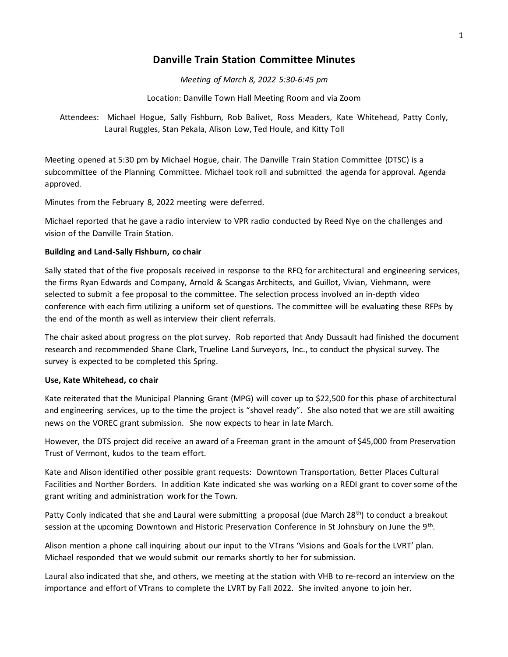## **Danville Train Station Committee Minutes**

*Meeting of March 8, 2022 5:30-6:45 pm*

Location: Danville Town Hall Meeting Room and via Zoom

Attendees: Michael Hogue, Sally Fishburn, Rob Balivet, Ross Meaders, Kate Whitehead, Patty Conly, Laural Ruggles, Stan Pekala, Alison Low, Ted Houle, and Kitty Toll

Meeting opened at 5:30 pm by Michael Hogue, chair. The Danville Train Station Committee (DTSC) is a subcommittee of the Planning Committee. Michael took roll and submitted the agenda for approval. Agenda approved.

Minutes from the February 8, 2022 meeting were deferred.

Michael reported that he gave a radio interview to VPR radio conducted by Reed Nye on the challenges and vision of the Danville Train Station.

## **Building and Land-Sally Fishburn, co chair**

Sally stated that of the five proposals received in response to the RFQ for architectural and engineering services, the firms Ryan Edwards and Company, Arnold & Scangas Architects, and Guillot, Vivian, Viehmann, were selected to submit a fee proposal to the committee. The selection process involved an in-depth video conference with each firm utilizing a uniform set of questions. The committee will be evaluating these RFPs by the end of the month as well as interview their client referrals.

The chair asked about progress on the plot survey. Rob reported that Andy Dussault had finished the document research and recommended Shane Clark, Trueline Land Surveyors, Inc., to conduct the physical survey. The survey is expected to be completed this Spring.

## **Use, Kate Whitehead, co chair**

Kate reiterated that the Municipal Planning Grant (MPG) will cover up to \$22,500 for this phase of architectural and engineering services, up to the time the project is "shovel ready". She also noted that we are still awaiting news on the VOREC grant submission. She now expects to hear in late March.

However, the DTS project did receive an award of a Freeman grant in the amount of \$45,000 from Preservation Trust of Vermont, kudos to the team effort.

Kate and Alison identified other possible grant requests: Downtown Transportation, Better Places Cultural Facilities and Norther Borders. In addition Kate indicated she was working on a REDI grant to cover some of the grant writing and administration work for the Town.

Patty Conly indicated that she and Laural were submitting a proposal (due March 28<sup>th</sup>) to conduct a breakout session at the upcoming Downtown and Historic Preservation Conference in St Johnsbury on June the 9<sup>th</sup>.

Alison mention a phone call inquiring about our input to the VTrans 'Visions and Goals for the LVRT' plan. Michael responded that we would submit our remarks shortly to her for submission.

Laural also indicated that she, and others, we meeting at the station with VHB to re-record an interview on the importance and effort of VTrans to complete the LVRT by Fall 2022. She invited anyone to join her.